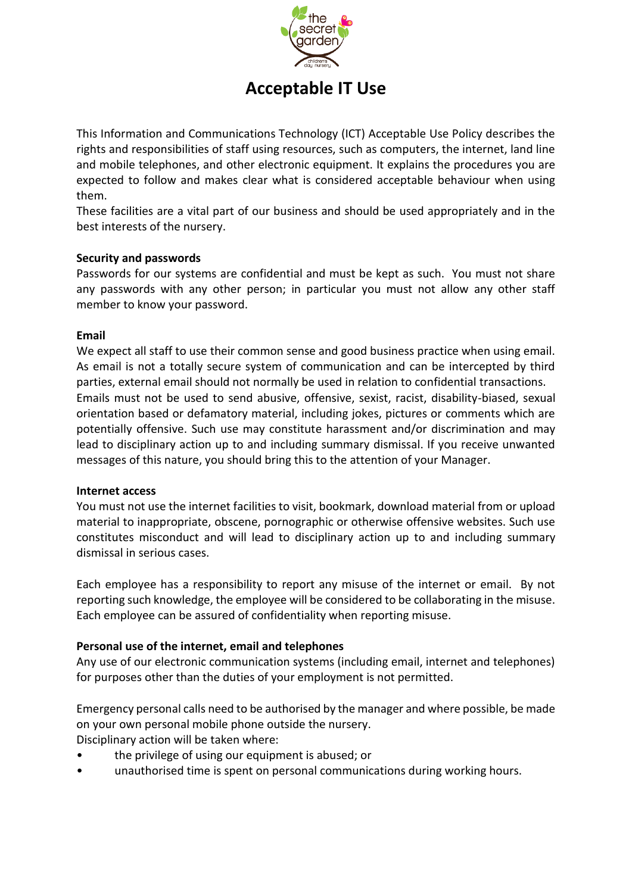

# **Acceptable IT Use**

This Information and Communications Technology (ICT) Acceptable Use Policy describes the rights and responsibilities of staff using resources, such as computers, the internet, land line and mobile telephones, and other electronic equipment. It explains the procedures you are expected to follow and makes clear what is considered acceptable behaviour when using them.

These facilities are a vital part of our business and should be used appropriately and in the best interests of the nursery.

## **Security and passwords**

Passwords for our systems are confidential and must be kept as such. You must not share any passwords with any other person; in particular you must not allow any other staff member to know your password.

#### **Email**

We expect all staff to use their common sense and good business practice when using email. As email is not a totally secure system of communication and can be intercepted by third parties, external email should not normally be used in relation to confidential transactions. Emails must not be used to send abusive, offensive, sexist, racist, disability-biased, sexual orientation based or defamatory material, including jokes, pictures or comments which are potentially offensive. Such use may constitute harassment and/or discrimination and may lead to disciplinary action up to and including summary dismissal. If you receive unwanted messages of this nature, you should bring this to the attention of your Manager.

#### **Internet access**

You must not use the internet facilities to visit, bookmark, download material from or upload material to inappropriate, obscene, pornographic or otherwise offensive websites. Such use constitutes misconduct and will lead to disciplinary action up to and including summary dismissal in serious cases.

Each employee has a responsibility to report any misuse of the internet or email. By not reporting such knowledge, the employee will be considered to be collaborating in the misuse. Each employee can be assured of confidentiality when reporting misuse.

#### **Personal use of the internet, email and telephones**

Any use of our electronic communication systems (including email, internet and telephones) for purposes other than the duties of your employment is not permitted.

Emergency personal calls need to be authorised by the manager and where possible, be made on your own personal mobile phone outside the nursery. Disciplinary action will be taken where:

- the privilege of using our equipment is abused; or
- unauthorised time is spent on personal communications during working hours.